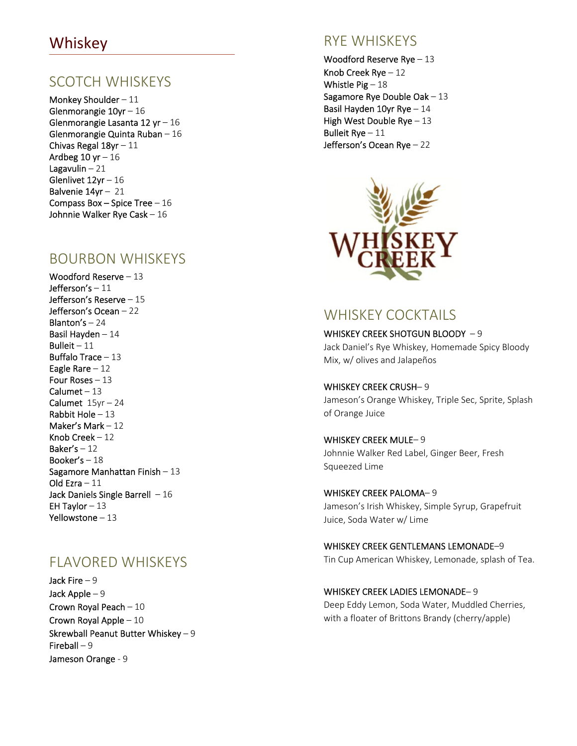#### Whiskey

#### SCOTCH WHISKEYS

Monkey Shoulder – 11 Glenmorangie 10yr – 16 Glenmorangie Lasanta 12 yr – 16 Glenmorangie Quinta Ruban – 16 Chivas Regal 18yr – 11 Ardbeg  $10$  yr  $-16$ Lagavulin  $-21$ Glenlivet 12yr – 16 Balvenie 14yr – 21 Compass Box – Spice Tree –  $16$ Johnnie Walker Rye Cask – 16

#### BOURBON WHISKEYS

Woodford Reserve – 13 Jefferson's – 11 Jefferson's Reserve – 15 Jefferson's Ocean – 22 Blanton's – 24 Basil Hayden – 14 Bulleit –  $11$ Buffalo Trace – 13 Eagle Rare – 12 Four Roses – 13 Calumet – 13 Calumet  $15yr - 24$ Rabbit Hole – 13 Maker's Mark – 12 Knob Creek – 12 Baker's  $-12$ Booker's – 18 Sagamore Manhattan Finish – 13 Old Ezra – 11 Jack Daniels Single Barrell  $-16$ EH Taylor – 13 Yellowstone – 13

#### FLAVORED WHISKEYS

Jack Fire – 9 Jack Apple – 9 Crown Royal Peach – 10 Crown Royal Apple – 10 Skrewball Peanut Butter Whiskey – 9 Fireball – 9 Jameson Orange ‐ 9

#### RYE WHISKEYS

Woodford Reserve Rye – 13 Knob Creek Rye – 12 Whistle  $Pig - 18$ Sagamore Rye Double Oak – 13 Basil Hayden 10yr Rye – 14 High West Double Rye - 13 Bulleit Rye – 11 Jefferson's Ocean Rye – 22



#### WHISKEY COCKTAILS

WHISKEY CREEK SHOTGUN BLOODY -9 Jack Daniel's Rye Whiskey, Homemade Spicy Bloody Mix, w/ olives and Jalapeños

WHISKEY CREEK CRUSH– 9 Jameson's Orange Whiskey, Triple Sec, Sprite, Splash of Orange Juice

WHISKEY CREEK MULE– 9 Johnnie Walker Red Label, Ginger Beer, Fresh Squeezed Lime

WHISKEY CREEK PALOMA– 9 Jameson's Irish Whiskey, Simple Syrup, Grapefruit Juice, Soda Water w/ Lime

WHISKEY CREEK GENTLEMANS LEMONADE–9 Tin Cup American Whiskey, Lemonade, splash of Tea.

WHISKEY CREEK LADIES LEMONADE– 9 Deep Eddy Lemon, Soda Water, Muddled Cherries,

with a floater of Brittons Brandy (cherry/apple)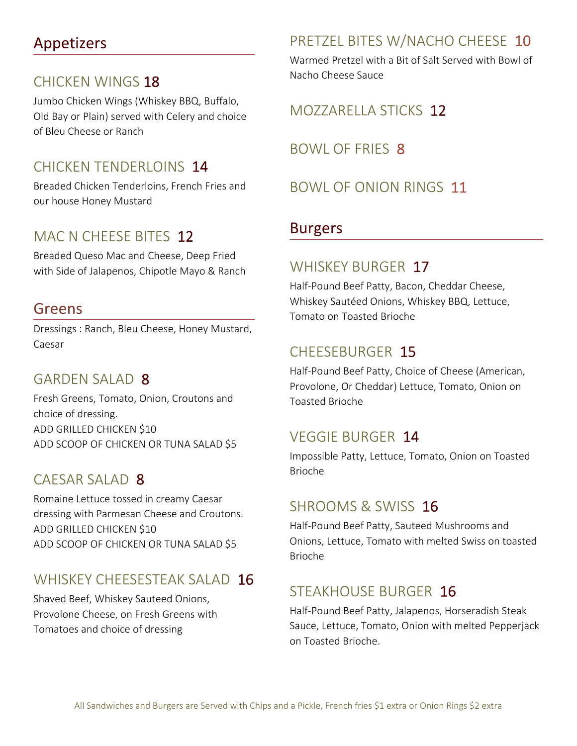# Appetizers

#### CHICKEN WINGS 18

Jumbo Chicken Wings (Whiskey BBQ, Buffalo, Old Bay or Plain) served with Celery and choice of Bleu Cheese or Ranch

## CHICKEN TENDERLOINS 14

Breaded Chicken Tenderloins, French Fries and our house Honey Mustard

### MAC N CHEESE BITES 12

Breaded Queso Mac and Cheese, Deep Fried with Side of Jalapenos, Chipotle Mayo & Ranch

#### Greens

Dressings : Ranch, Bleu Cheese, Honey Mustard, Caesar

#### GARDEN SALAD 8

Fresh Greens, Tomato, Onion, Croutons and choice of dressing. ADD GRILLED CHICKEN \$10 ADD SCOOP OF CHICKEN OR TUNA SALAD \$5

#### CAESAR SALAD 8

Romaine Lettuce tossed in creamy Caesar dressing with Parmesan Cheese and Croutons. ADD GRILLED CHICKEN \$10 ADD SCOOP OF CHICKEN OR TUNA SALAD \$5

## WHISKEY CHEESESTEAK SALAD 16

Shaved Beef, Whiskey Sauteed Onions, Provolone Cheese, on Fresh Greens with Tomatoes and choice of dressing

## PRETZEL BITES W/NACHO CHEESE 10

Warmed Pretzel with a Bit of Salt Served with Bowl of Nacho Cheese Sauce

#### MOZZARELLA STICKS 12

BOWL OF FRIES 8

BOWL OF ONION RINGS 11

#### Burgers

#### WHISKEY BURGER 17

Half‐Pound Beef Patty, Bacon, Cheddar Cheese, Whiskey Sautéed Onions, Whiskey BBQ, Lettuce, Tomato on Toasted Brioche

#### CHEESEBURGER 15

Half‐Pound Beef Patty, Choice of Cheese (American, Provolone, Or Cheddar) Lettuce, Tomato, Onion on Toasted Brioche

#### VEGGIE BURGER 14

Impossible Patty, Lettuce, Tomato, Onion on Toasted Brioche

#### SHROOMS & SWISS 16

Half‐Pound Beef Patty, Sauteed Mushrooms and Onions, Lettuce, Tomato with melted Swiss on toasted Brioche

## STEAKHOUSE BURGER 16

Half‐Pound Beef Patty, Jalapenos, Horseradish Steak Sauce, Lettuce, Tomato, Onion with melted Pepperjack on Toasted Brioche.